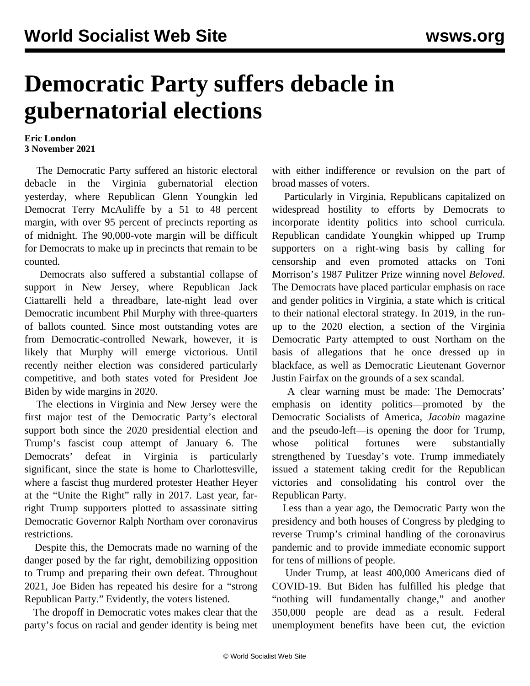## **Democratic Party suffers debacle in gubernatorial elections**

## **Eric London 3 November 2021**

 The Democratic Party suffered an historic electoral debacle in the Virginia gubernatorial election yesterday, where Republican Glenn Youngkin led Democrat Terry McAuliffe by a 51 to 48 percent margin, with over 95 percent of precincts reporting as of midnight. The 90,000-vote margin will be difficult for Democrats to make up in precincts that remain to be counted.

 Democrats also suffered a substantial collapse of support in New Jersey, where Republican Jack Ciattarelli held a threadbare, late-night lead over Democratic incumbent Phil Murphy with three-quarters of ballots counted. Since most outstanding votes are from Democratic-controlled Newark, however, it is likely that Murphy will emerge victorious. Until recently neither election was considered particularly competitive, and both states voted for President Joe Biden by wide margins in 2020.

 The elections in Virginia and New Jersey were the first major test of the Democratic Party's electoral support both since the 2020 presidential election and Trump's fascist coup attempt of January 6. The Democrats' defeat in Virginia is particularly significant, since the state is home to Charlottesville, where a fascist thug murdered protester Heather Heyer at the "Unite the Right" rally in 2017. Last year, farright Trump supporters plotted to assassinate sitting Democratic Governor Ralph Northam over coronavirus restrictions.

 Despite this, the Democrats made no warning of the danger posed by the far right, demobilizing opposition to Trump and preparing their own defeat. Throughout 2021, Joe Biden has repeated his desire for a "strong Republican Party." Evidently, the voters listened.

 The dropoff in Democratic votes makes clear that the party's focus on racial and gender identity is being met with either indifference or revulsion on the part of broad masses of voters.

 Particularly in Virginia, Republicans capitalized on widespread hostility to efforts by Democrats to incorporate identity politics into school curricula. Republican candidate Youngkin whipped up Trump supporters on a right-wing basis by calling for censorship and even promoted attacks on Toni Morrison's 1987 Pulitzer Prize winning novel *Beloved*. The Democrats have placed particular emphasis on race and gender politics in Virginia, a state which is critical to their national electoral strategy. In 2019, in the runup to the 2020 election, a section of the Virginia Democratic Party attempted to oust Northam on the basis of allegations that he once dressed up in blackface, as well as Democratic Lieutenant Governor Justin Fairfax on the grounds of a sex scandal.

 A clear warning must be made: The Democrats' emphasis on identity politics—promoted by the Democratic Socialists of America, *Jacobin* magazine and the pseudo-left—is opening the door for Trump, whose political fortunes were substantially strengthened by Tuesday's vote. Trump immediately issued a statement taking credit for the Republican victories and consolidating his control over the Republican Party.

 Less than a year ago, the Democratic Party won the presidency and both houses of Congress by pledging to reverse Trump's criminal handling of the coronavirus pandemic and to provide immediate economic support for tens of millions of people.

 Under Trump, at least 400,000 Americans died of COVID-19. But Biden has fulfilled his pledge that "nothing will fundamentally change," and another 350,000 people are dead as a result. Federal unemployment benefits have been cut, the eviction